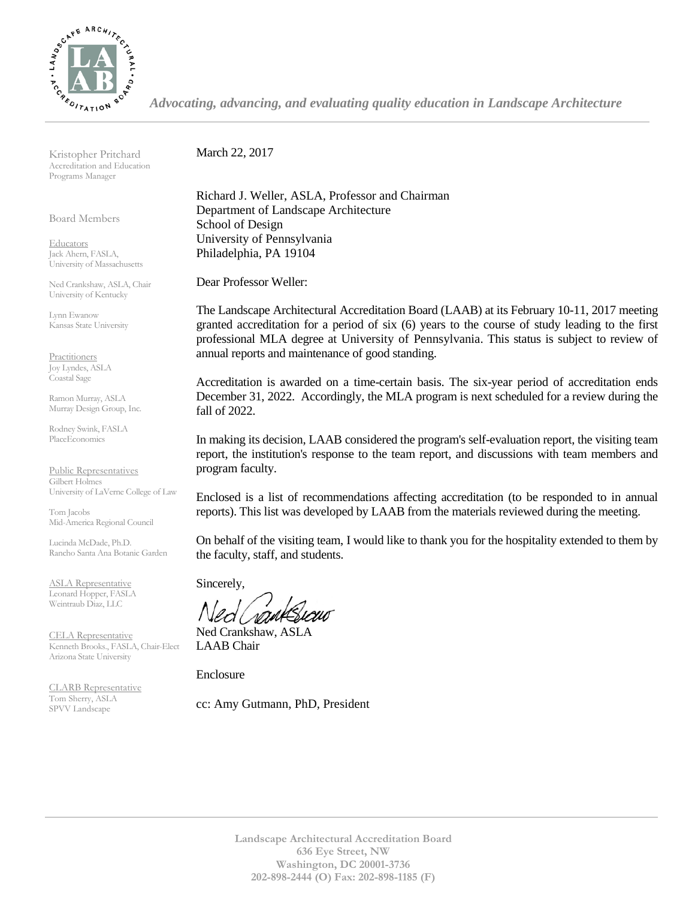

*Advocating, advancing, and evaluating quality education in Landscape Architecture*

Kristopher Pritchard Accreditation and Education Programs Manager

Board Members

Educators Jack Ahern, FASLA, University of Massachusetts

Ned Crankshaw, ASLA, Chair University of Kentucky

Lynn Ewanow Kansas State University

**Practitioners** Joy Lyndes, ASLA Coastal Sage

Ramon Murray, ASLA Murray Design Group, Inc.

Rodney Swink, FASLA PlaceEconomics

Public Representatives Gilbert Holmes University of LaVerne College of Law

Tom Jacobs Mid-America Regional Council

Lucinda McDade, Ph.D. Rancho Santa Ana Botanic Garden

ASLA Representative Leonard Hopper, FASLA Weintraub Diaz, LLC

CELA Representative Kenneth Brooks., FASLA, Chair-Elect Arizona State University

CLARB Representative Tom Sherry, ASLA SPVV Landscape

March 22, 2017

Richard J. Weller, ASLA, Professor and Chairman Department of Landscape Architecture School of Design University of Pennsylvania Philadelphia, PA 19104

Dear Professor Weller:

The Landscape Architectural Accreditation Board (LAAB) at its February 10-11, 2017 meeting granted accreditation for a period of six (6) years to the course of study leading to the first professional MLA degree at University of Pennsylvania. This status is subject to review of annual reports and maintenance of good standing.

Accreditation is awarded on a time-certain basis. The six-year period of accreditation ends December 31, 2022. Accordingly, the MLA program is next scheduled for a review during the fall of 2022.

In making its decision, LAAB considered the program's self-evaluation report, the visiting team report, the institution's response to the team report, and discussions with team members and program faculty.

Enclosed is a list of recommendations affecting accreditation (to be responded to in annual reports). This list was developed by LAAB from the materials reviewed during the meeting.

On behalf of the visiting team, I would like to thank you for the hospitality extended to them by the faculty, staff, and students.

Sincerely,

Ned Crankshaw, ASLA LAAB Chair

Enclosure

cc: Amy Gutmann, PhD, President